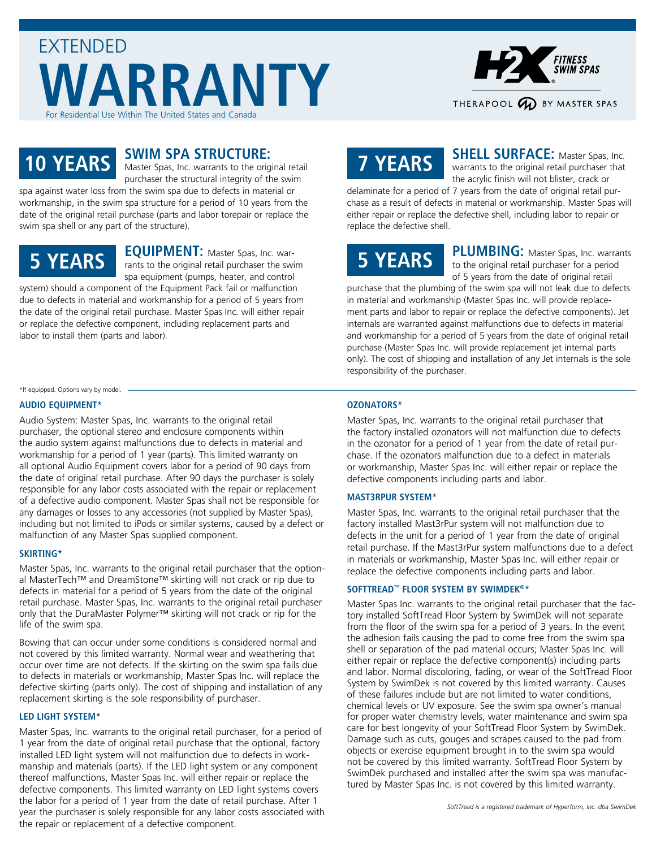



### **10 YEARS**

### **SWIM SPA STRUCTURE:**

Master Spas, Inc. warrants to the original retail purchaser the structural integrity of the swim spa against water loss from the swim spa due to defects in material or

workmanship, in the swim spa structure for a period of 10 years from the date of the original retail purchase (parts and labor torepair or replace the swim spa shell or any part of the structure).

### **5 YEARS**

**EQUIPMENT:** Master Spas, Inc. warrants to the original retail purchaser the swim spa equipment (pumps, heater, and control system) should a component of the Equipment Pack fail or malfunction

due to defects in material and workmanship for a period of 5 years from the date of the original retail purchase. Master Spas Inc. will either repair or replace the defective component, including replacement parts and labor to install them (parts and labor).

### \*If equipped. Options vary by model.

### **AUDIO EQUIPMENT\***

Audio System: Master Spas, Inc. warrants to the original retail purchaser, the optional stereo and enclosure components within the audio system against malfunctions due to defects in material and workmanship for a period of 1 year (parts). This limited warranty on all optional Audio Equipment covers labor for a period of 90 days from the date of original retail purchase. After 90 days the purchaser is solely responsible for any labor costs associated with the repair or replacement of a defective audio component. Master Spas shall not be responsible for any damages or losses to any accessories (not supplied by Master Spas), including but not limited to iPods or similar systems, caused by a defect or malfunction of any Master Spas supplied component.

### **SKIRTING\***

Master Spas, Inc. warrants to the original retail purchaser that the optional MasterTech™ and DreamStone™ skirting will not crack or rip due to defects in material for a period of 5 years from the date of the original retail purchase. Master Spas, Inc. warrants to the original retail purchaser only that the DuraMaster Polymer™ skirting will not crack or rip for the life of the swim spa.

Bowing that can occur under some conditions is considered normal and not covered by this limited warranty. Normal wear and weathering that occur over time are not defects. If the skirting on the swim spa fails due to defects in materials or workmanship, Master Spas Inc. will replace the defective skirting (parts only). The cost of shipping and installation of any replacement skirting is the sole responsibility of purchaser.

### **LED LIGHT SYSTEM\***

Master Spas, Inc. warrants to the original retail purchaser, for a period of 1 year from the date of original retail purchase that the optional, factory installed LED light system will not malfunction due to defects in workmanship and materials (parts). If the LED light system or any component thereof malfunctions, Master Spas Inc. will either repair or replace the defective components. This limited warranty on LED light systems covers the labor for a period of 1 year from the date of retail purchase. After 1 year the purchaser is solely responsible for any labor costs associated with the repair or replacement of a defective component.

# **7 YEARS**

**SHELL SURFACE:** Master Spas, Inc. warrants to the original retail purchaser that the acrylic finish will not blister, crack or

delaminate for a period of 7 years from the date of original retail purchase as a result of defects in material or workmanship. Master Spas will either repair or replace the defective shell, including labor to repair or replace the defective shell.

## **5 YEARS**

PLUMBING: Master Spas, Inc. warrants to the original retail purchaser for a period of 5 years from the date of original retail

purchase that the plumbing of the swim spa will not leak due to defects in material and workmanship (Master Spas Inc. will provide replacement parts and labor to repair or replace the defective components). Jet internals are warranted against malfunctions due to defects in material and workmanship for a period of 5 years from the date of original retail purchase (Master Spas Inc. will provide replacement jet internal parts only). The cost of shipping and installation of any Jet internals is the sole responsibility of the purchaser.

### **OZONATORS\***

Master Spas, Inc. warrants to the original retail purchaser that the factory installed ozonators will not malfunction due to defects in the ozonator for a period of 1 year from the date of retail purchase. If the ozonators malfunction due to a defect in materials or workmanship, Master Spas Inc. will either repair or replace the defective components including parts and labor.

### **MAST3RPUR SYSTEM\***

Master Spas, Inc. warrants to the original retail purchaser that the factory installed Mast3rPur system will not malfunction due to defects in the unit for a period of 1 year from the date of original retail purchase. If the Mast3rPur system malfunctions due to a defect in materials or workmanship, Master Spas Inc. will either repair or replace the defective components including parts and labor.

### **SOFTTREAD™ FLOOR SYSTEM BY SWIMDEK®\***

Master Spas Inc. warrants to the original retail purchaser that the factory installed SoftTread Floor System by SwimDek will not separate from the floor of the swim spa for a period of 3 years. In the event the adhesion fails causing the pad to come free from the swim spa shell or separation of the pad material occurs; Master Spas Inc. will either repair or replace the defective component(s) including parts and labor. Normal discoloring, fading, or wear of the SoftTread Floor System by SwimDek is not covered by this limited warranty. Causes of these failures include but are not limited to water conditions, chemical levels or UV exposure. See the swim spa owner's manual for proper water chemistry levels, water maintenance and swim spa care for best longevity of your SoftTread Floor System by SwimDek. Damage such as cuts, gouges and scrapes caused to the pad from objects or exercise equipment brought in to the swim spa would not be covered by this limited warranty. SoftTread Floor System by SwimDek purchased and installed after the swim spa was manufactured by Master Spas Inc. is not covered by this limited warranty.